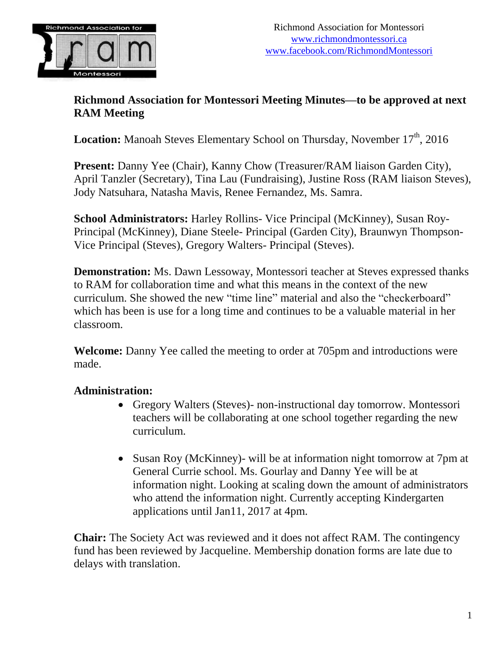

#### **Richmond Association for Montessori Meeting Minutes—to be approved at next RAM Meeting**

Location: Manoah Steves Elementary School on Thursday, November 17<sup>th</sup>, 2016

**Present:** Danny Yee (Chair), Kanny Chow (Treasurer/RAM liaison Garden City), April Tanzler (Secretary), Tina Lau (Fundraising), Justine Ross (RAM liaison Steves), Jody Natsuhara, Natasha Mavis, Renee Fernandez, Ms. Samra.

**School Administrators:** Harley Rollins- Vice Principal (McKinney), Susan Roy-Principal (McKinney), Diane Steele- Principal (Garden City), Braunwyn Thompson-Vice Principal (Steves), Gregory Walters- Principal (Steves).

**Demonstration:** Ms. Dawn Lessoway, Montessori teacher at Steves expressed thanks to RAM for collaboration time and what this means in the context of the new curriculum. She showed the new "time line" material and also the "checkerboard" which has been is use for a long time and continues to be a valuable material in her classroom.

**Welcome:** Danny Yee called the meeting to order at 705pm and introductions were made.

#### **Administration:**

- Gregory Walters (Steves)- non-instructional day tomorrow. Montessori teachers will be collaborating at one school together regarding the new curriculum.
- Susan Roy (McKinney)- will be at information night tomorrow at 7pm at General Currie school. Ms. Gourlay and Danny Yee will be at information night. Looking at scaling down the amount of administrators who attend the information night. Currently accepting Kindergarten applications until Jan11, 2017 at 4pm.

**Chair:** The Society Act was reviewed and it does not affect RAM. The contingency fund has been reviewed by Jacqueline. Membership donation forms are late due to delays with translation.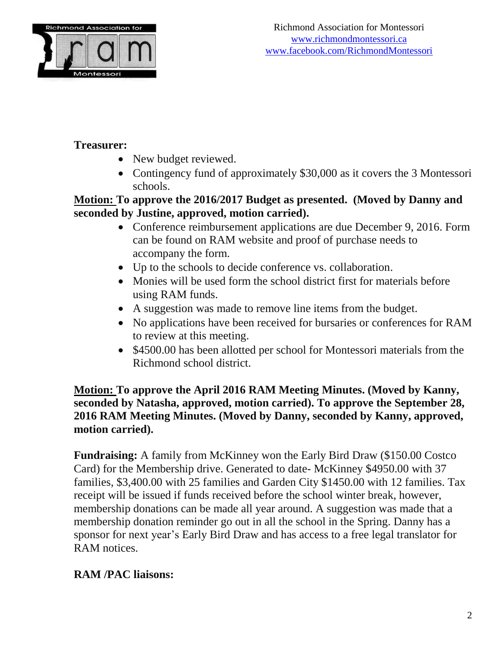

## **Treasurer:**

- New budget reviewed.
- Contingency fund of approximately \$30,000 as it covers the 3 Montessori schools.

### **Motion: To approve the 2016/2017 Budget as presented. (Moved by Danny and seconded by Justine, approved, motion carried).**

- Conference reimbursement applications are due December 9, 2016. Form can be found on RAM website and proof of purchase needs to accompany the form.
- Up to the schools to decide conference vs. collaboration.
- Monies will be used form the school district first for materials before using RAM funds.
- A suggestion was made to remove line items from the budget.
- No applications have been received for bursaries or conferences for RAM to review at this meeting.
- \$4500.00 has been allotted per school for Montessori materials from the Richmond school district.

**Motion: To approve the April 2016 RAM Meeting Minutes. (Moved by Kanny, seconded by Natasha, approved, motion carried). To approve the September 28, 2016 RAM Meeting Minutes. (Moved by Danny, seconded by Kanny, approved, motion carried).**

**Fundraising:** A family from McKinney won the Early Bird Draw (\$150.00 Costco Card) for the Membership drive. Generated to date- McKinney \$4950.00 with 37 families, \$3,400.00 with 25 families and Garden City \$1450.00 with 12 families. Tax receipt will be issued if funds received before the school winter break, however, membership donations can be made all year around. A suggestion was made that a membership donation reminder go out in all the school in the Spring. Danny has a sponsor for next year's Early Bird Draw and has access to a free legal translator for RAM notices.

# **RAM /PAC liaisons:**